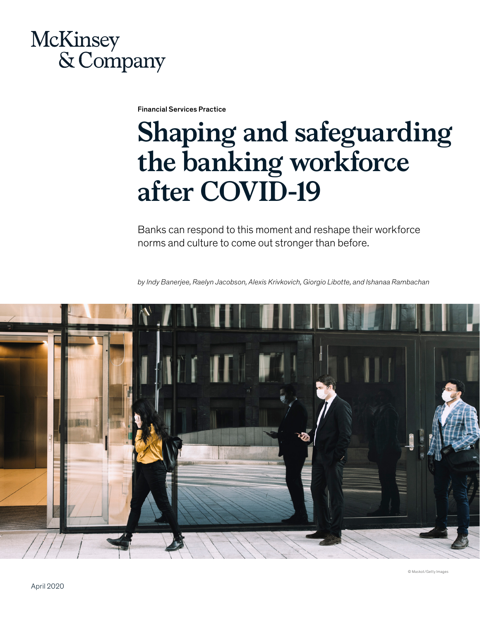## McKinsey & Company

Financial Services Practice

# **Shaping and safeguarding the banking workforce after COVID-19**

Banks can respond to this moment and reshape their workforce norms and culture to come out stronger than before.

*by Indy Banerjee, Raelyn Jacobson, Alexis Krivkovich, Giorgio Libotte, and Ishanaa Rambachan*



© Maskot/Getty Images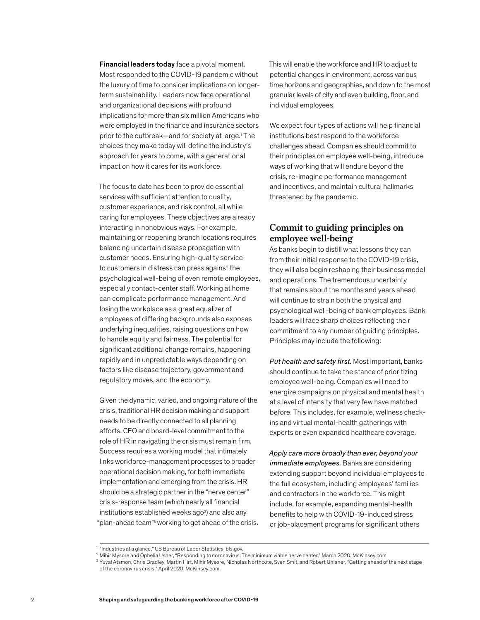Financial leaders today face a pivotal moment. Most responded to the COVID-19 pandemic without the luxury of time to consider implications on longerterm sustainability. Leaders now face operational and organizational decisions with profound implications for more than six million Americans who were employed in the finance and insurance sectors prior to the outbreak-and for society at large.<sup>1</sup> The choices they make today will define the industry's approach for years to come, with a generational impact on how it cares for its workforce.

The focus to date has been to provide essential services with sufficient attention to quality, customer experience, and risk control, all while caring for employees. These objectives are already interacting in nonobvious ways. For example, maintaining or reopening branch locations requires balancing uncertain disease propagation with customer needs. Ensuring high-quality service to customers in distress can press against the psychological well-being of even remote employees, especially contact-center staff. Working at home can complicate performance management. And losing the workplace as a great equalizer of employees of differing backgrounds also exposes underlying inequalities, raising questions on how to handle equity and fairness. The potential for significant additional change remains, happening rapidly and in unpredictable ways depending on factors like disease trajectory, government and regulatory moves, and the economy.

Given the dynamic, varied, and ongoing nature of the crisis, traditional HR decision making and support needs to be directly connected to all planning efforts. CEO and board-level commitment to the role of HR in navigating the crisis must remain firm. Success requires a working model that intimately links workforce-management processes to broader operational decision making, for both immediate implementation and emerging from the crisis. HR should be a strategic partner in the "nerve center" crisis-response team (which nearly all financial institutions established weeks ago<sup>2</sup>) and also any "plan-ahead team"<sup>3</sup> working to get ahead of the crisis. This will enable the workforce and HR to adjust to potential changes in environment, across various time horizons and geographies, and down to the most granular levels of city and even building, floor, and individual employees.

We expect four types of actions will help financial institutions best respond to the workforce challenges ahead. Companies should commit to their principles on employee well-being, introduce ways of working that will endure beyond the crisis, re-imagine performance management and incentives, and maintain cultural hallmarks threatened by the pandemic.

## **Commit to guiding principles on employee well-being**

As banks begin to distill what lessons they can from their initial response to the COVID-19 crisis, they will also begin reshaping their business model and operations. The tremendous uncertainty that remains about the months and years ahead will continue to strain both the physical and psychological well-being of bank employees. Bank leaders will face sharp choices reflecting their commitment to any number of guiding principles. Principles may include the following:

*Put health and safety first.* Most important, banks should continue to take the stance of prioritizing employee well-being. Companies will need to energize campaigns on physical and mental health at a level of intensity that very few have matched before. This includes, for example, wellness checkins and virtual mental-health gatherings with experts or even expanded healthcare coverage.

*Apply care more broadly than ever, beyond your immediate employees.* Banks are considering extending support beyond individual employees to the full ecosystem, including employees' families and contractors in the workforce. This might include, for example, expanding mental-health benefits to help with COVID-19-induced stress or job-placement programs for significant others

<sup>&</sup>lt;sup>1</sup> "Industries at a glance," US Bureau of Labor Statistics, bls.gov.

<sup>2</sup> Mihir Mysore and Ophelia Usher, "Responding to coronavirus: The minimum viable nerve center," March 2020, McKinsey.com.

<sup>&</sup>lt;sup>3</sup> Yuval Atsmon, Chris Bradley, Martin Hirt, Mihir Mysore, Nicholas Northcote, Sven Smit, and Robert Uhlaner, "Getting ahead of the next stage of the coronavirus crisis," April 2020, McKinsey.com.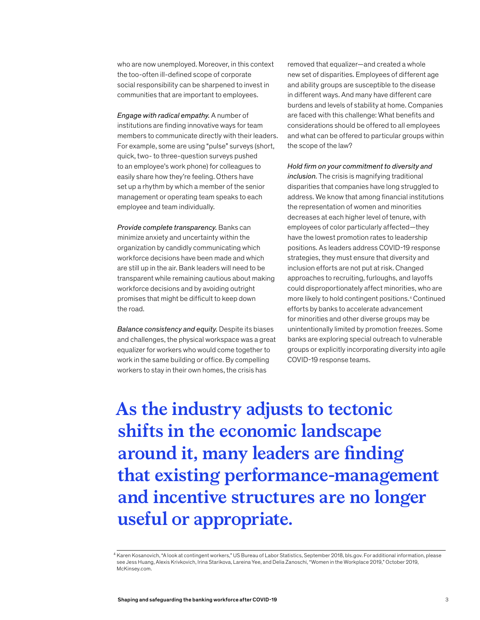who are now unemployed. Moreover, in this context the too-often ill-defined scope of corporate social responsibility can be sharpened to invest in communities that are important to employees.

*Engage with radical empathy.* A number of institutions are finding innovative ways for team members to communicate directly with their leaders. For example, some are using "pulse" surveys (short, quick, two- to three-question surveys pushed to an employee's work phone) for colleagues to easily share how they're feeling. Others have set up a rhythm by which a member of the senior management or operating team speaks to each employee and team individually.

*Provide complete transparency.* Banks can minimize anxiety and uncertainty within the organization by candidly communicating which workforce decisions have been made and which are still up in the air. Bank leaders will need to be transparent while remaining cautious about making workforce decisions and by avoiding outright promises that might be difficult to keep down the road.

*Balance consistency and equity.* Despite its biases and challenges, the physical workspace was a great equalizer for workers who would come together to work in the same building or office. By compelling workers to stay in their own homes, the crisis has

removed that equalizer—and created a whole new set of disparities. Employees of different age and ability groups are susceptible to the disease in different ways. And many have different care burdens and levels of stability at home. Companies are faced with this challenge: What benefits and considerations should be offered to all employees and what can be offered to particular groups within the scope of the law?

*Hold firm on your commitment to diversity and inclusion.* The crisis is magnifying traditional disparities that companies have long struggled to address. We know that among financial institutions the representation of women and minorities decreases at each higher level of tenure, with employees of color particularly affected—they have the lowest promotion rates to leadership positions. As leaders address COVID-19 response strategies, they must ensure that diversity and inclusion efforts are not put at risk. Changed approaches to recruiting, furloughs, and layoffs could disproportionately affect minorities, who are more likely to hold contingent positions.4 Continued efforts by banks to accelerate advancement for minorities and other diverse groups may be unintentionally limited by promotion freezes. Some banks are exploring special outreach to vulnerable groups or explicitly incorporating diversity into agile COVID-19 response teams.

**As the industry adjusts to tectonic shifts in the economic landscape around it, many leaders are finding that existing performance-management and incentive structures are no longer useful or appropriate.**

<sup>4</sup> Karen Kosanovich, "A look at contingent workers," US Bureau of Labor Statistics, September 2018, bls.gov. For additional information, please see Jess Huang, Alexis Krivkovich, Irina Starikova, Lareina Yee, and Delia Zanoschi, "Women in the Workplace 2019," October 2019, McKinsey.com.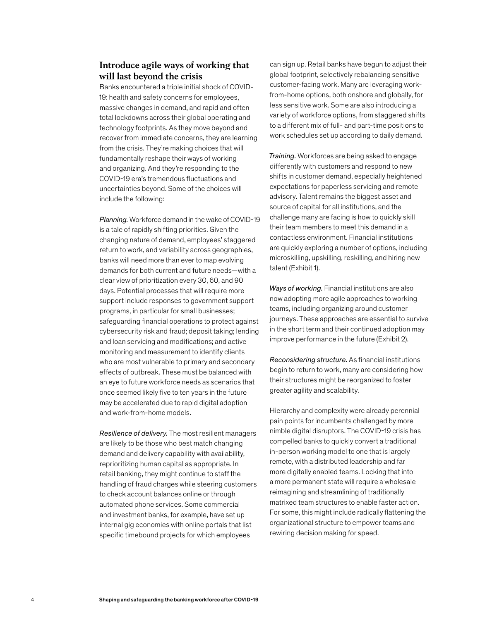## **Introduce agile ways of working that will last beyond the crisis**

Banks encountered a triple initial shock of COVID-19: health and safety concerns for employees, massive changes in demand, and rapid and often total lockdowns across their global operating and technology footprints. As they move beyond and recover from immediate concerns, they are learning from the crisis. They're making choices that will fundamentally reshape their ways of working and organizing. And they're responding to the COVID-19 era's tremendous fluctuations and uncertainties beyond. Some of the choices will include the following:

*Planning.* Workforce demand in the wake of COVID-19 is a tale of rapidly shifting priorities. Given the changing nature of demand, employees' staggered return to work, and variability across geographies, banks will need more than ever to map evolving demands for both current and future needs—with a clear view of prioritization every 30, 60, and 90 days. Potential processes that will require more support include responses to government support programs, in particular for small businesses; safeguarding financial operations to protect against cybersecurity risk and fraud; deposit taking; lending and loan servicing and modifications; and active monitoring and measurement to identify clients who are most vulnerable to primary and secondary effects of outbreak. These must be balanced with an eye to future workforce needs as scenarios that once seemed likely five to ten years in the future may be accelerated due to rapid digital adoption and work-from-home models.

*Resilience of delivery.* The most resilient managers are likely to be those who best match changing demand and delivery capability with availability, reprioritizing human capital as appropriate. In retail banking, they might continue to staff the handling of fraud charges while steering customers to check account balances online or through automated phone services. Some commercial and investment banks, for example, have set up internal gig economies with online portals that list specific timebound projects for which employees

can sign up. Retail banks have begun to adjust their global footprint, selectively rebalancing sensitive customer-facing work. Many are leveraging workfrom-home options, both onshore and globally, for less sensitive work. Some are also introducing a variety of workforce options, from staggered shifts to a different mix of full- and part-time positions to work schedules set up according to daily demand.

*Training.* Workforces are being asked to engage differently with customers and respond to new shifts in customer demand, especially heightened expectations for paperless servicing and remote advisory. Talent remains the biggest asset and source of capital for all institutions, and the challenge many are facing is how to quickly skill their team members to meet this demand in a contactless environment. Financial institutions are quickly exploring a number of options, including microskilling, upskilling, reskilling, and hiring new talent (Exhibit 1).

*Ways of working.* Financial institutions are also now adopting more agile approaches to working teams, including organizing around customer journeys. These approaches are essential to survive in the short term and their continued adoption may improve performance in the future (Exhibit 2).

*Reconsidering structure.* As financial institutions begin to return to work, many are considering how their structures might be reorganized to foster greater agility and scalability.

Hierarchy and complexity were already perennial pain points for incumbents challenged by more nimble digital disruptors. The COVID-19 crisis has compelled banks to quickly convert a traditional in-person working model to one that is largely remote, with a distributed leadership and far more digitally enabled teams. Locking that into a more permanent state will require a wholesale reimagining and streamlining of traditionally matrixed team structures to enable faster action. For some, this might include radically flattening the organizational structure to empower teams and rewiring decision making for speed.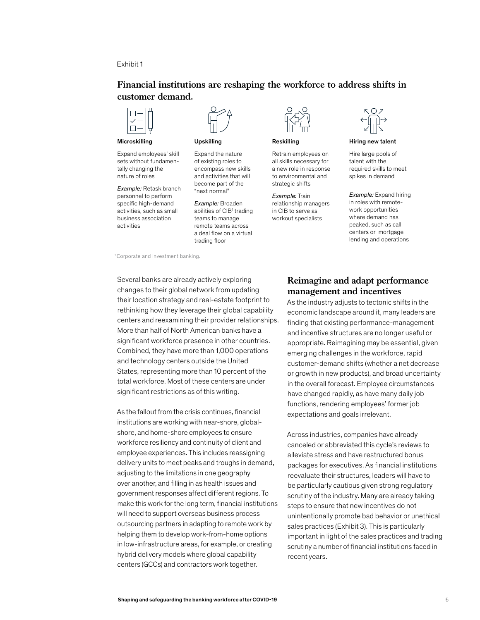## Exhibit 1

## **Financial institutions are reshaping the workforce to address shifts in customer demand.**



Microskilling

Expand employees' skill sets without fundamentally changing the nature of roles

*Example:* Retask branch personnel to perform specific high-demand activities, such as small business association activities



#### Upskilling

Expand the nature of existing roles to encompass new skills and activities that will become part of the "next normal"

*Example:* Broaden abilities of CIB<sup>1</sup> trading teams to manage remote teams across a deal flow on a virtual trading floor



Reskilling

Retrain employees on all skills necessary for a new role in response to environmental and strategic shifts

*Example:* Train relationship managers in CIB to serve as workout specialists



Hiring new talent

Hire large pools of talent with the required skills to meet spikes in demand

*Example:* Expand hiring in roles with remotework opportunities where demand has peaked, such as call centers or mortgage lending and operations

<sup>1</sup> Corporate and investment banking.

Several banks are already actively exploring changes to their global network from updating their location strategy and real-estate footprint to rethinking how they leverage their global capability centers and reexamining their provider relationships. More than half of North American banks have a significant workforce presence in other countries. Combined, they have more than 1,000 operations and technology centers outside the United States, representing more than 10 percent of the total workforce. Most of these centers are under significant restrictions as of this writing.

As the fallout from the crisis continues, financial institutions are working with near-shore, globalshore, and home-shore employees to ensure workforce resiliency and continuity of client and employee experiences. This includes reassigning delivery units to meet peaks and troughs in demand, adjusting to the limitations in one geography over another, and filling in as health issues and government responses affect different regions. To make this work for the long term, financial institutions will need to support overseas business process outsourcing partners in adapting to remote work by helping them to develop work-from-home options in low-infrastructure areas, for example, or creating hybrid delivery models where global capability centers (GCCs) and contractors work together.

## **Reimagine and adapt performance management and incentives**

As the industry adjusts to tectonic shifts in the economic landscape around it, many leaders are finding that existing performance-management and incentive structures are no longer useful or appropriate. Reimagining may be essential, given emerging challenges in the workforce, rapid customer-demand shifts (whether a net decrease or growth in new products), and broad uncertainty in the overall forecast. Employee circumstances have changed rapidly, as have many daily job functions, rendering employees' former job expectations and goals irrelevant.

Across industries, companies have already canceled or abbreviated this cycle's reviews to alleviate stress and have restructured bonus packages for executives. As financial institutions reevaluate their structures, leaders will have to be particularly cautious given strong regulatory scrutiny of the industry. Many are already taking steps to ensure that new incentives do not unintentionally promote bad behavior or unethical sales practices (Exhibit 3). This is particularly important in light of the sales practices and trading scrutiny a number of financial institutions faced in recent years.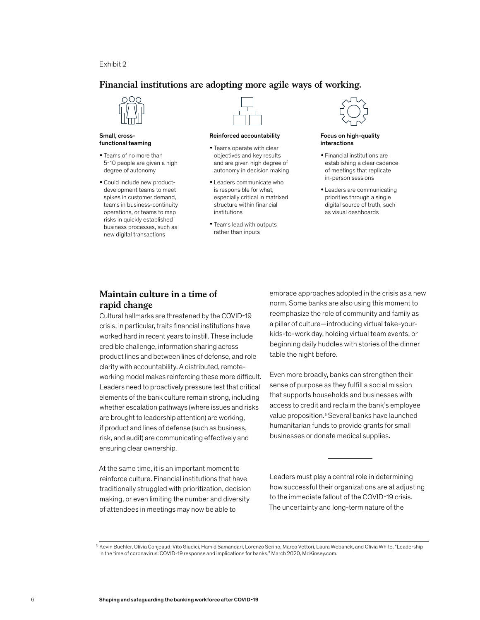## Exhibit 2

## **Financial institutions are adopting more agile ways of working.**



#### Small, crossfunctional teaming

- Teams of no more than 5-10 people are given a high degree of autonomy
- Could include new product development teams to meet spikes in customer demand, teams in business-continuity operations, or teams to map risks in quickly established business processes, such as new digital transactions



#### Reinforced accountability

- Teams operate with clear objectives and key results and are given high degree of autonomy in decision making
- Leaders communicate who is responsible for what, especially critical in matrixed structure within financial institutions
- Teams lead with outputs rather than inputs



#### Focus on high-quality interactions

- Financial institutions are establishing a clear cadence of meetings that replicate in-person sessions
- Leaders are communicating priorities through a single digital source of truth, such as visual dashboards

## **Maintain culture in a time of rapid change**

Cultural hallmarks are threatened by the COVID-19 crisis, in particular, traits financial institutions have worked hard in recent years to instill. These include credible challenge, information sharing across product lines and between lines of defense, and role clarity with accountability. A distributed, remoteworking model makes reinforcing these more difficult. Leaders need to proactively pressure test that critical elements of the bank culture remain strong, including whether escalation pathways (where issues and risks are brought to leadership attention) are working, if product and lines of defense (such as business, risk, and audit) are communicating effectively and ensuring clear ownership.

At the same time, it is an important moment to reinforce culture. Financial institutions that have traditionally struggled with prioritization, decision making, or even limiting the number and diversity of attendees in meetings may now be able to

embrace approaches adopted in the crisis as a new norm. Some banks are also using this moment to reemphasize the role of community and family as a pillar of culture—introducing virtual take-yourkids-to-work day, holding virtual team events, or beginning daily huddles with stories of the dinner table the night before.

Even more broadly, banks can strengthen their sense of purpose as they fulfill a social mission that supports households and businesses with access to credit and reclaim the bank's employee value proposition.<sup>5</sup> Several banks have launched humanitarian funds to provide grants for small businesses or donate medical supplies.

Leaders must play a central role in determining how successful their organizations are at adjusting to the immediate fallout of the COVID-19 crisis. The uncertainty and long-term nature of the

<sup>&</sup>lt;sup>5</sup> Kevin Buehler, Olivia Conjeaud, Vito Giudici, Hamid Samandari, Lorenzo Serino, Marco Vettori, Laura Webanck, and Olivia White, "Leadership in the time of coronavirus: COVID-19 response and implications for banks," March 2020, McKinsey.com.